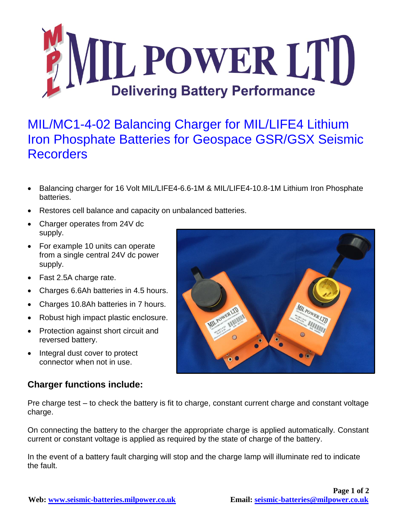

## MIL/MC1-4-02 Balancing Charger for MIL/LIFE4 Lithium Iron Phosphate Batteries for Geospace GSR/GSX Seismic Recorders

- Balancing charger for 16 Volt MIL/LIFE4-6.6-1M & MIL/LIFE4-10.8-1M Lithium Iron Phosphate batteries.
- Restores cell balance and capacity on unbalanced batteries.
- Charger operates from 24V dc supply.
- For example 10 units can operate from a single central 24V dc power supply.
- Fast 2.5A charge rate.
- Charges 6.6Ah batteries in 4.5 hours.
- Charges 10.8Ah batteries in 7 hours.
- Robust high impact plastic enclosure.
- Protection against short circuit and reversed battery.
- Integral dust cover to protect connector when not in use.

## **Charger functions include:**

Pre charge test – to check the battery is fit to charge, constant current charge and constant voltage charge.

On connecting the battery to the charger the appropriate charge is applied automatically. Constant current or constant voltage is applied as required by the state of charge of the battery.

In the event of a battery fault charging will stop and the charge lamp will illuminate red to indicate the fault.